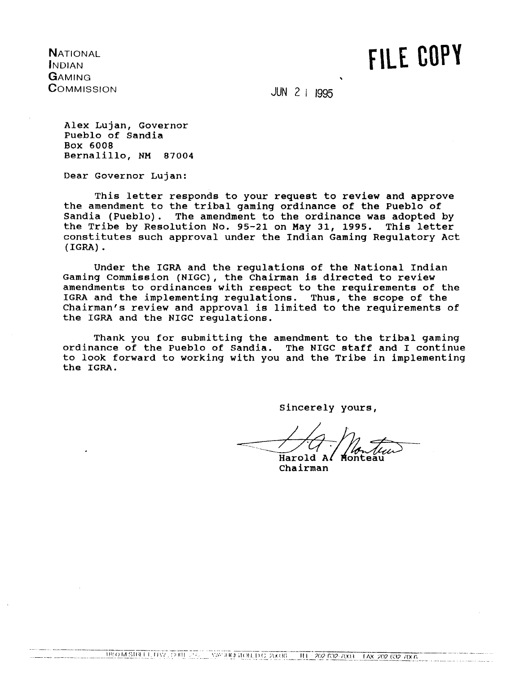**NATIONAL INDIAN GAMING** COMMISSION FILE COPY

**JUN 2 1 1995** 

Alex Lujan, Governor Pueblo of Sandia Box 6008 Bernalillo, NM 87004

Dear Governor Lujan:

This letter responds to your request to review and approve the amendment to the tribal gaming ordinance of the Pueblo of Sandia (Pueblo). The amendment to the ordinance was adopted by the Tribe by Resolution No. 95-21 on May 31, 1995. This letter constitutes such approval under the Indian Gaming Regulatory Act  $(IGRA)$ .

Under the IGRA and the regulations of the National Indian Gaming Commission (NIGC), the Chairman is directed to review amendments to ordinances with respect to the requirements of the IGRA and the implementing regulations. Thus, the scope of the Chairman's review and approval is limited to the requirements of the IGRA and the NIGC regulations.

Thank you for submitting the amendment to the tribal gaming ordinance of the Pueblo of Sandia. The NIGC staff and I continue to look forward to working with you and the Tribe in implementing the IGRA.

Sincerely yours,

Harold A

Chairman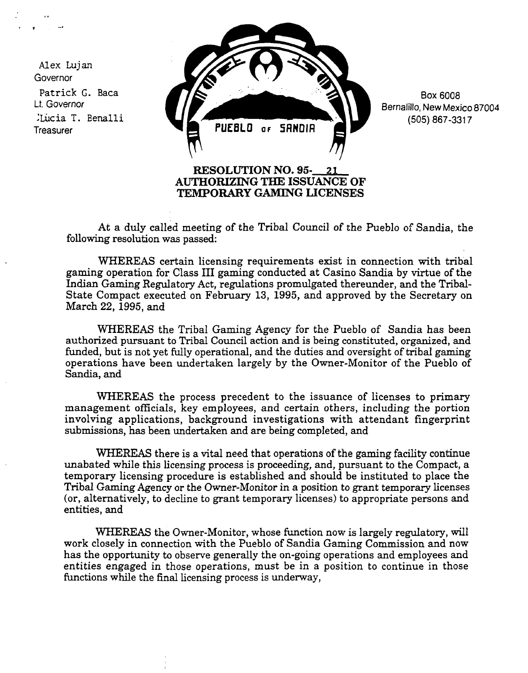**Alex Lujan Governor Patrick G. Baca U. Governor Lücia T. Benalli Treasurer**



**Box 6008 Bernalillo, New Mexico 87004 (505) 867-3317**

**At a duly called meeting of the Tribal Council of the Pueblo of Sandia, the following resolution was passed:**

**WHEREAS certain licensing requirements exist in connection with tribal gaming operation for Class III gaining conducted at Casino Sandia by virtue of the Indian Gaming Regulatory Act, regulations promulgated thereunder, and the Tribal-State Compact executed on February 13, 1995, and approved by the Secretary on March 22, 1995, and**

**WHEREAS the Tribal Gaming Agency for the Pueblo of Sandia has been authorized pursuant to Tribal Council action and is being constituted, organized, and funded, but is not yet fully operational, and the duties and oversight of tribal gpming operations have been undertaken largely by the Owner-Monitor of the Pueblo of Sandia, and**

**WHEREAS the process precedent to the issuance of licenses to primary management officials, key employees, and certain others, including the portion involving applications, background investigations with attendant fingerprint submissions, has been undertaken and are being completed, and**

**WHEREAS there is <sup>a</sup> vital need that operations of the gaming facility continue unabated while this licensing process is proceeding, and, pursuant to the Compact, a temporary licensing procedure is established and should be instituted to place the Tribal Gaming Agency or the Owner-Monitor in a position to grant temporary licenses (or, alternatively, to decline to grant temporary licenses) to appropriate persons and entities, and**

**WHEREAS the Owner-Monitor, whose function now is largely regulatory, will work closely in connection with the Pueblo of Sandia Gaming Commission and now has the opportunity to observe generally the on-going operations and employees and entities engaged in those operations, must be in <sup>a</sup> position to continue in those functions while the final licensing process is underway,**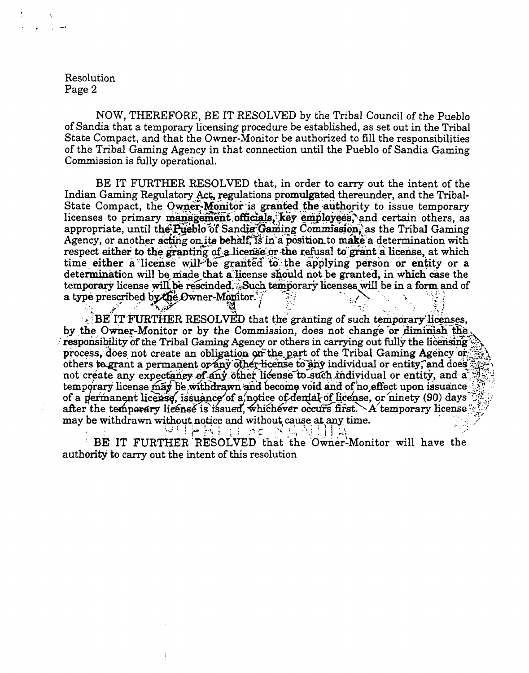Resolution Page 2

NOW, THEREFORE, BE IT RESOLVED by the Tribal Council of the Pueblo of Sandia that a temporary licensing procedure be established, as set out in the Tribal State Compact, and that the Owner-Monitor be authorized to fill the responsibilities of the Tribal Gaming Agency in that connection until the Pueblo of Sandia Gaming Commission is fully operational.

BE IT FURTHER RESOLVED that, in order to carry out the intent of the Indian Gaming Regulatory Act, regulations promulgated thereunder, and the Tribal-State Compact, the Owner-Monitor is granted the authority to issue temporary licenses to primary management officials, key employees, and certain others, as appropriate, until the Pueblo of Sandia Gaming Commission, as the Tribal Gaming Agency, or another acting on its behalf, is in a position to make a determination with respect either to the granting of a license or the refusal to grant a license, at which time either a license will be granted to the applying person or entity or a determination will be made that a license should not be granted, in which case the temporary license will be rescinded. Such temporary licenses will be in a form and of a type prescribed by the Owner-Monitor. لمخلفها

**E. BE IT FURTHER RESOLVED** that the granting of such temporary licenses. by the Owner-Monitor or by the Commission, does not change or diminish the responsibility of the Tribal Gaming Agency or others in carrying out fully the licensing process, does not create an obligation on the part of the Tribal Gaming Agency or others to grant a permanent or any other license to any individual or entity, and does not create any expectancy of any other license to such individual or entity, and a temporary license may be withdrawn and become void and of no effect upon issuance of a permanent license, issuance of a notice of demial of license, or ninety (90) days after the temperary license is issued, whichever occurs first. A temporary license may be withdrawn without notice and without cause at any time.

高自慢轻担 经飞费公司财贸 BE IT FURTHER RESOLVED that the Owner-Monitor will have the authority to carry out the intent of this resolution